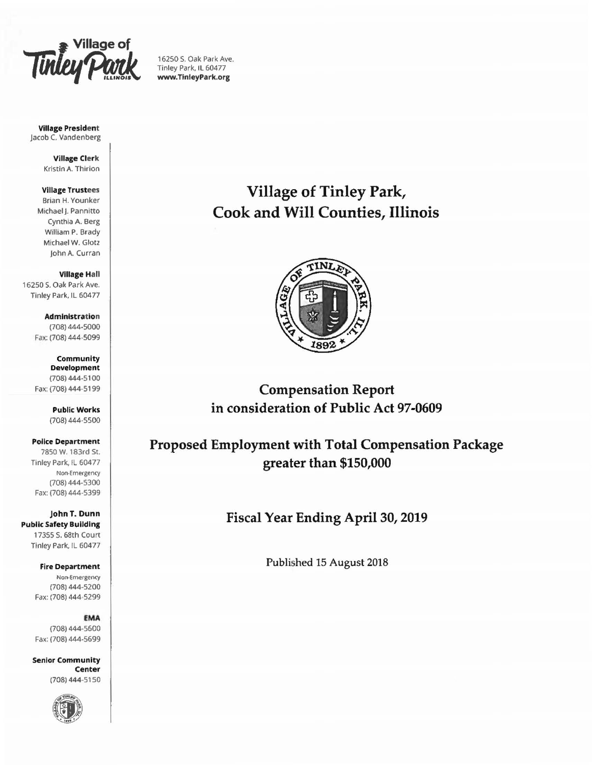

16250 S. Oak Park Ave. Tinley Park. IL 60477 www.TlnleyPark.org

#### Village President Jacob C. Vandenberg

Village Clerk Kristin A. Thirion

## Village Trustees

Brian H. Younker Michael I. Pannitto Cynthia A. Berg Wilham P. Brady Michael W. Glotz john A. Curran

Village Hall 16250 S. Oak Park Ave. Tinley Park. IL 60477

> **Administration** (708) 444-5000 Fax: (708) 444-5099

Community Development (708) 444-5100 Fax: (708) 444· 5199

> Public Works (708) 444-5500

Police Department 78SO W. 183rd St. Tinley Park, IL 60477 Non-Emergency (708) 444-5300 Fax: (708) 444.5399

johnT. Dunn Public Safety Building 17355 S. 68th Court Tinley Park. IL 60477

> Fire Department Non-Emergency (708) 444-5200 Fax: (708) 444 5299

> > £MA

(708) 444-5600 Fax: (708) 444·5699

Senior Community Center (708) 444-5150



# Village of Tinley Park, Cook and Will Counties, Illinois



Compensation Report in consideration of Public Act 97-0609

Proposed Employment with Total Compensation Package greater than \$150,000

Fiscal Year Ending April 30, 2019

Published 15 August 2018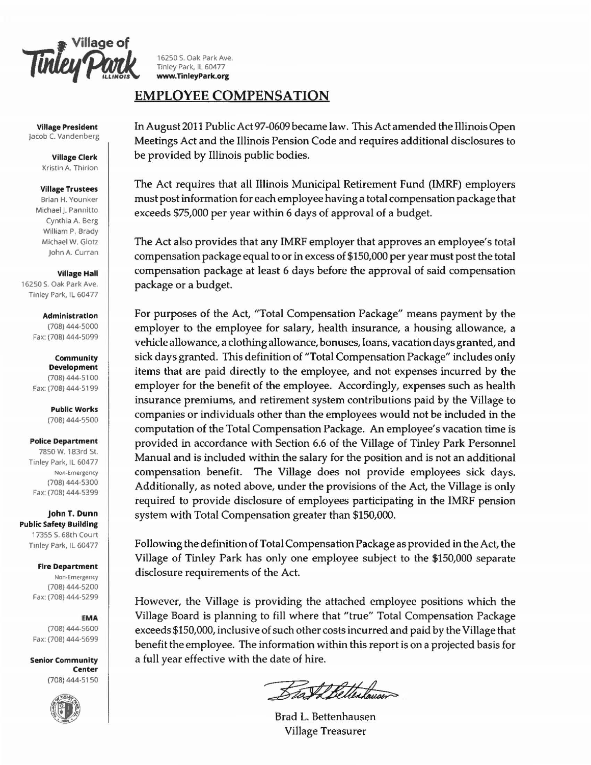**Finley Park** 16250 S. Oak Park Ave.<br> **Time**y Park, IL 60477<br> *EXERCY PARK MANUSE WWW.TinleyPark.org* 

**Village President** Jacob C. Vandenberg

> Village Clerk Kristin A. Thirion

#### Village Trustees

Brian H. Younker Michael J. Pannitto Cynthia A. Berg William P. Brady Michael W. Glotz john A. Curran

Village Hall

16250 S. Oak Park Ave. Tinley Park, IL 60477

#### Administration

(708) 444-5000 Fax: (708) 444-5099

Community Development (708) 444. 5100

Fax: (708)444-5199

Public Works (708) 444-5500

#### Police Department

7850 W. 183rd St. Tinley Park, IL 60477 Non-Emergency (708) 444-5300 Fax: (708) 444-5399

johnT. Dunn **Public Safety Building** 17355 S. 68th Court Tinley Park, IL 60477

> Fire Department Non-Emergency (708) 444-5200 Fax: (708) 444-5299

## EMA

(708) 444-5600 Fax: (708) 444-5699

Senior Community Center (708) 444-51 50



Tinley Park, IL 60477 www.TinleyPark.org

# EMPLOYEE COMPENSATION

In August 2011 Public Act 97-0609 became law. This Act amended the Illinois Open Meetings Act and the Illinois Pension Code and requires additional disclosures to be provided by Illinois public bodies.

The Act requires that all Illinois Municipal Retirement Fund (IMRF) employers must post information for each employee having a total compensation package that exceeds \$75,000 per year within 6 days of approval of a budget.

The Act also provides that any IMRF employer that approves an employee's total compensation package equal to or in excess of \$150,000 per year must post the total compensation package at least 6 days before the approval of said compensation package or a budget.

For purposes of the Act, "Total Compensation Package" means payment by the employer to the employee for salary, health insurance, a housing allowance, a vehicle allowance, a clothing allowance, bonuses, loans, vacation days granted, and sick days granted. This definition of "Total Compensation Package" includes only items that are paid directly to the employee, and not expenses incurred by the employer for the benefit of the employee. Accordingly, expenses such as health insurance premiums, and retirement system contributions paid by the Village to companies or individuals other than the employees would not be included in the computation of the Total Compensation Package. An employee's vacation time is provided in accordance with Section 6.6 of the Village of Tinley Park Personnel Manual and is included within the salary for the position and is not an additional compensation benefit. The Village does not provide employees sick days. Additionally, as noted above, under the provisions of the Act, the Village is only required to provide disclosure of employees participating in the IMRF pension system with Total Compensation greater than \$150,000.

Following the definition of Total Compensation Package as provided in the Act, the Village of Tinley Park has only one employee subject to the \$150,000 separate disclosure requirements of the Act.

However, the Village is providing the attached employee positions which the Village Board is planning to fill where that "true" Total Compensation Package exceeds \$150,000, inclusive of such other costs incurred and paid by the Village that benefit the employee. The information within this report is on a projected basis for a full year effective with the date of hire.

Beat Betterhouser

Brad L. Bettenhausen Village Treasurer